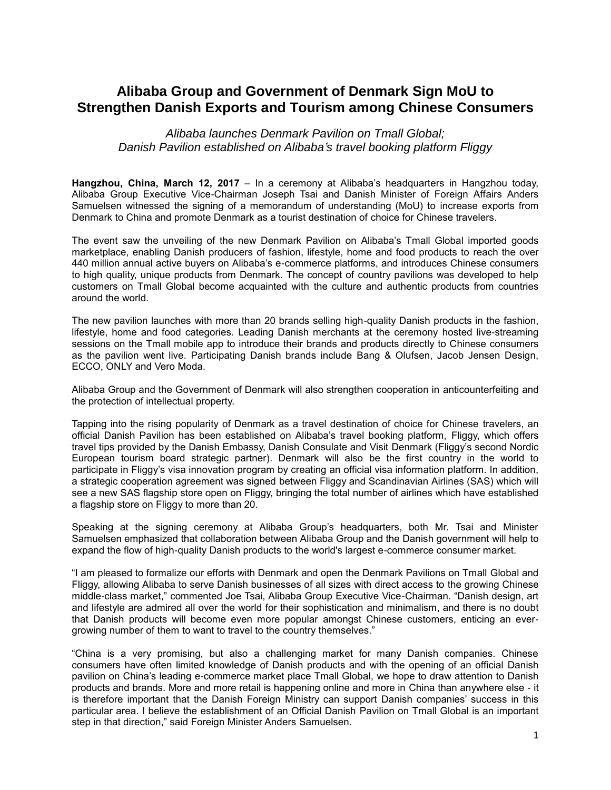## **Alibaba Group and Government of Denmark Sign MoU to Strengthen Danish Exports and Tourism among Chinese Consumers**

*Alibaba launches Denmark Pavilion on Tmall Global; Danish Pavilion established on Alibaba's travel booking platform Fliggy*

**Hangzhou, China, March 12, 2017** – In a ceremony at Alibaba's headquarters in Hangzhou today, Alibaba Group Executive Vice-Chairman Joseph Tsai and Danish Minister of Foreign Affairs Anders Samuelsen witnessed the signing of a memorandum of understanding (MoU) to increase exports from Denmark to China and promote Denmark as a tourist destination of choice for Chinese travelers.

The event saw the unveiling of the new Denmark Pavilion on Alibaba's Tmall Global imported goods marketplace, enabling Danish producers of fashion, lifestyle, home and food products to reach the over 440 million annual active buyers on Alibaba's e-commerce platforms, and introduces Chinese consumers to high quality, unique products from Denmark. The concept of country pavilions was developed to help customers on Tmall Global become acquainted with the culture and authentic products from countries around the world.

The new pavilion launches with more than 20 brands selling high-quality Danish products in the fashion, lifestyle, home and food categories. Leading Danish merchants at the ceremony hosted live-streaming sessions on the Tmall mobile app to introduce their brands and products directly to Chinese consumers as the pavilion went live. Participating Danish brands include Bang & Olufsen, Jacob Jensen Design, ECCO, ONLY and Vero Moda.

Alibaba Group and the Government of Denmark will also strengthen cooperation in anticounterfeiting and the protection of intellectual property.

Tapping into the rising popularity of Denmark as a travel destination of choice for Chinese travelers, an official Danish Pavilion has been established on Alibaba's travel booking platform, Fliggy, which offers travel tips provided by the Danish Embassy, Danish Consulate and Visit Denmark (Fliggy's second Nordic European tourism board strategic partner). Denmark will also be the first country in the world to participate in Fliggy's visa innovation program by creating an official visa information platform. In addition, a strategic cooperation agreement was signed between Fliggy and Scandinavian Airlines (SAS) which will see a new SAS flagship store open on Fliggy, bringing the total number of airlines which have established a flagship store on Fliggy to more than 20.

Speaking at the signing ceremony at Alibaba Group's headquarters, both Mr. Tsai and Minister Samuelsen emphasized that collaboration between Alibaba Group and the Danish government will help to expand the flow of high-quality Danish products to the world's largest e-commerce consumer market.

"I am pleased to formalize our efforts with Denmark and open the Denmark Pavilions on Tmall Global and Fliggy, allowing Alibaba to serve Danish businesses of all sizes with direct access to the growing Chinese middle-class market," commented Joe Tsai, Alibaba Group Executive Vice-Chairman. "Danish design, art and lifestyle are admired all over the world for their sophistication and minimalism, and there is no doubt that Danish products will become even more popular amongst Chinese customers, enticing an evergrowing number of them to want to travel to the country themselves."

"China is a very promising, but also a challenging market for many Danish companies. Chinese consumers have often limited knowledge of Danish products and with the opening of an official Danish pavilion on China's leading e-commerce market place Tmall Global, we hope to draw attention to Danish products and brands. More and more retail is happening online and more in China than anywhere else - it is therefore important that the Danish Foreign Ministry can support Danish companies' success in this particular area. I believe the establishment of an Official Danish Pavilion on Tmall Global is an important step in that direction," said Foreign Minister Anders Samuelsen.